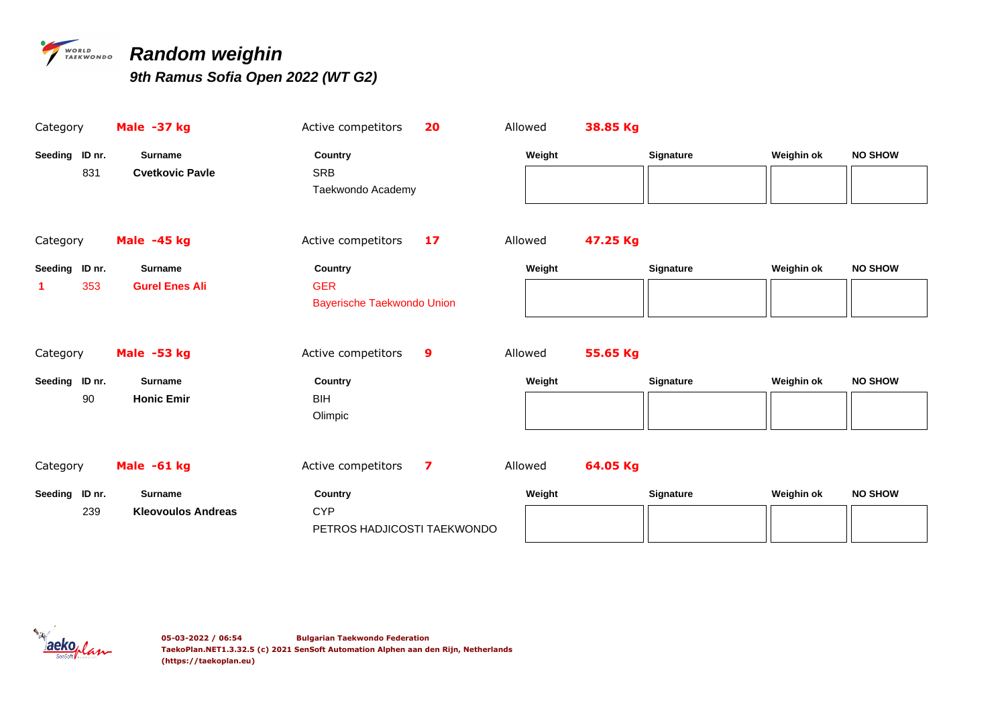

## *PARARDOM Weighin*

| Category       | Male -37 kg               | Active competitors<br>20                        | Allowed |        | 38.85 Kg |                  |            |                |
|----------------|---------------------------|-------------------------------------------------|---------|--------|----------|------------------|------------|----------------|
| Seeding ID nr. | <b>Surname</b>            | Country                                         |         | Weight |          | Signature        | Weighin ok | <b>NO SHOW</b> |
| 831            | <b>Cvetkovic Pavle</b>    | <b>SRB</b><br>Taekwondo Academy                 |         |        |          |                  |            |                |
|                |                           |                                                 |         |        |          |                  |            |                |
| Category       | Male -45 kg               | Active competitors<br>17                        | Allowed |        | 47.25 Kg |                  |            |                |
| Seeding ID nr. | <b>Surname</b>            | Country                                         |         | Weight |          | <b>Signature</b> | Weighin ok | <b>NO SHOW</b> |
| 353            | <b>Gurel Enes Ali</b>     | <b>GER</b><br><b>Bayerische Taekwondo Union</b> |         |        |          |                  |            |                |
| Category       | Male -53 kg               | Active competitors<br>9                         | Allowed |        | 55.65 Kg |                  |            |                |
| Seeding ID nr. | <b>Surname</b>            | Country                                         |         | Weight |          | Signature        | Weighin ok | <b>NO SHOW</b> |
| 90             | <b>Honic Emir</b>         | <b>BIH</b><br>Olimpic                           |         |        |          |                  |            |                |
| Category       | Male -61 kg               | Active competitors<br>7                         | Allowed |        | 64.05 Kg |                  |            |                |
| Seeding ID nr. | <b>Surname</b>            | Country                                         |         | Weight |          | Signature        | Weighin ok | <b>NO SHOW</b> |
| 239            | <b>Kleovoulos Andreas</b> | <b>CYP</b><br>PETROS HADJICOSTI TAEKWONDO       |         |        |          |                  |            |                |

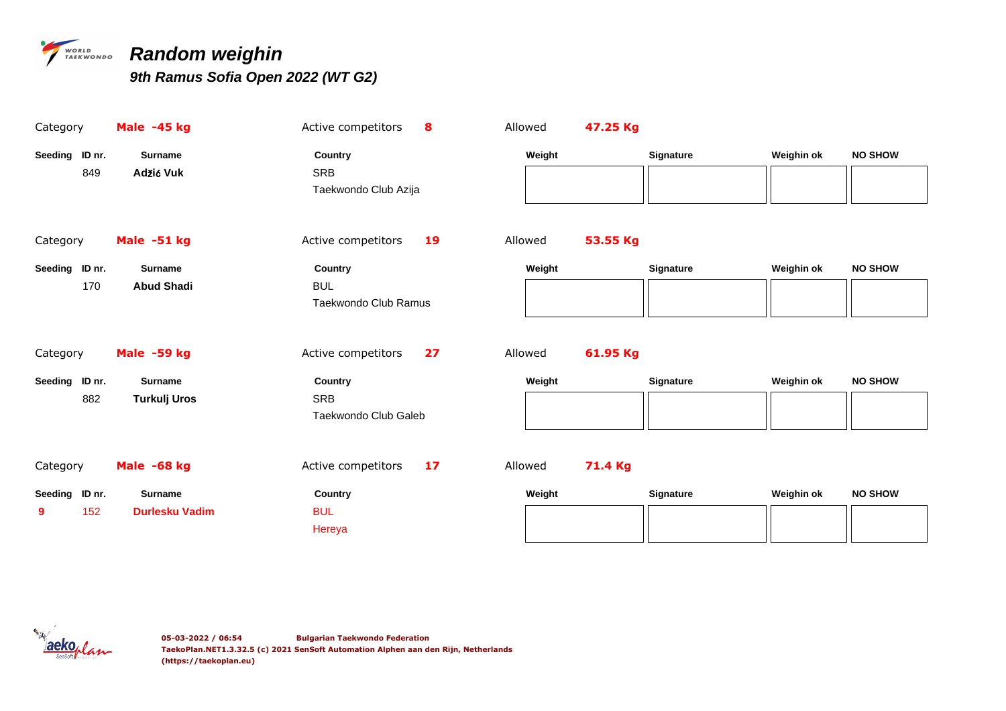

# *PERSON Random weighin*

| Category              | Male -45 kg           | Active competitors<br>8  | Allowed | 47.25 Kg |           |            |                |
|-----------------------|-----------------------|--------------------------|---------|----------|-----------|------------|----------------|
| Seeding ID nr.        | <b>Surname</b>        | Country                  | Weight  |          | Signature | Weighin ok | <b>NO SHOW</b> |
| 849                   | Adžić Vuk             | SRB                      |         |          |           |            |                |
|                       |                       | Taekwondo Club Azija     |         |          |           |            |                |
|                       |                       |                          |         |          |           |            |                |
| Category              | Male -51 kg           | Active competitors<br>19 | Allowed | 53.55 Kg |           |            |                |
| Seeding ID nr.        | <b>Surname</b>        | Country                  | Weight  |          | Signature | Weighin ok | <b>NO SHOW</b> |
| 170                   | <b>Abud Shadi</b>     | <b>BUL</b>               |         |          |           |            |                |
|                       |                       | Taekwondo Club Ramus     |         |          |           |            |                |
|                       |                       |                          |         |          |           |            |                |
|                       |                       |                          |         | 61.95 Kg |           |            |                |
| Category              | Male -59 kg           | Active competitors<br>27 | Allowed |          |           |            |                |
|                       | <b>Surname</b>        | Country                  | Weight  |          | Signature | Weighin ok | <b>NO SHOW</b> |
| Seeding ID nr.<br>882 |                       | <b>SRB</b>               |         |          |           |            |                |
|                       | <b>Turkulj Uros</b>   | Taekwondo Club Galeb     |         |          |           |            |                |
|                       |                       |                          |         |          |           |            |                |
|                       |                       |                          |         |          |           |            |                |
| Category              | Male -68 kg           | Active competitors<br>17 | Allowed | 71.4 Kg  |           |            |                |
| Seeding ID nr.        | <b>Surname</b>        | <b>Country</b>           | Weight  |          | Signature | Weighin ok | <b>NO SHOW</b> |
| 152<br>9              | <b>Durlesku Vadim</b> | <b>BUL</b>               |         |          |           |            |                |
|                       |                       | Hereya                   |         |          |           |            |                |

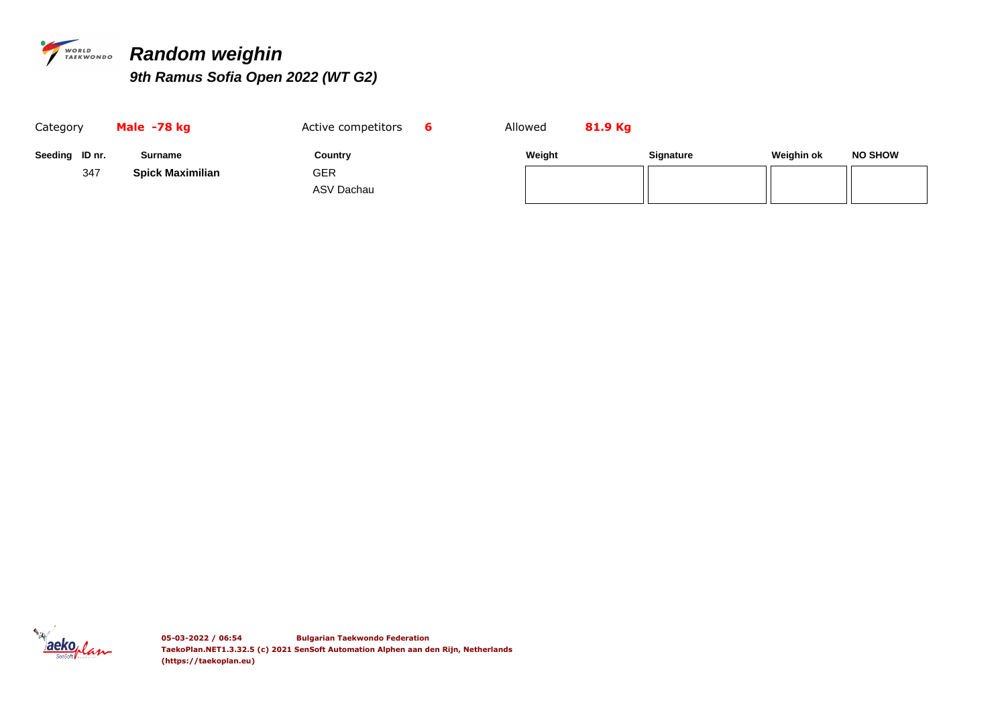

# *PERSONADO Random weighin*

| Category       | Male -78 kg             | Active competitors | Allowed | 81.9 Kg |                  |            |                |
|----------------|-------------------------|--------------------|---------|---------|------------------|------------|----------------|
| Seeding ID nr. | Surname                 | Country            | Weight  |         | <b>Signature</b> | Weighin ok | <b>NO SHOW</b> |
| 347            | <b>Spick Maximilian</b> | GER                |         |         |                  |            |                |
|                |                         | ASV Dachau         |         |         |                  |            |                |

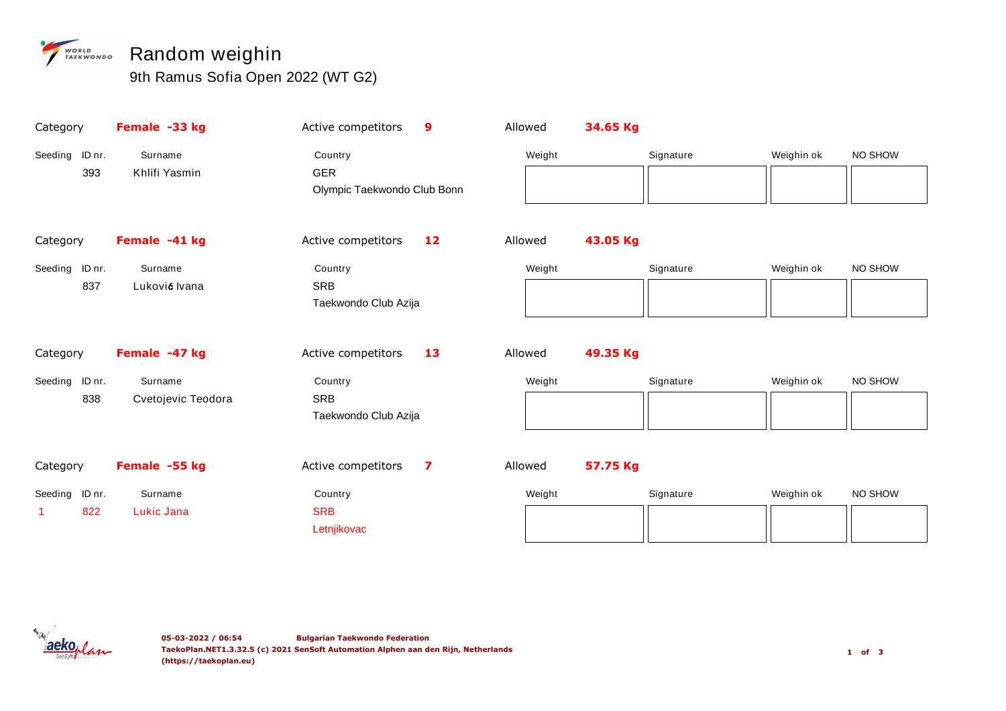### *P WORLD* DRANDOM Weighin

| Category          | Female -33 kg      | Active competitors<br>$\boldsymbol{9}$ | Allowed | 34.65 Kg  |            |         |
|-------------------|--------------------|----------------------------------------|---------|-----------|------------|---------|
| ID nr.<br>Seeding | Surname            | Country                                | Weight  | Signature | Weighin ok | NO SHOW |
| 393               | Khlifi Yasmin      | <b>GER</b>                             |         |           |            |         |
|                   |                    | Olympic Taekwondo Club Bonn            |         |           |            |         |
|                   |                    |                                        |         |           |            |         |
| Category          | Female -41 kg      | Active competitors<br>12               | Allowed | 43.05 Kg  |            |         |
| Seeding ID nr.    | Surname            | Country                                | Weight  | Signature | Weighin ok | NO SHOW |
| 837               | Luković Ivana      | <b>SRB</b>                             |         |           |            |         |
|                   |                    | Taekwondo Club Azija                   |         |           |            |         |
|                   |                    |                                        |         |           |            |         |
| Category          | Female -47 kg      | Active competitors<br>13               | Allowed | 49.35 Kg  |            |         |
| Seeding ID nr.    | Surname            | Country                                | Weight  | Signature | Weighin ok | NO SHOW |
| 838               | Cvetojevic Teodora | <b>SRB</b>                             |         |           |            |         |
|                   |                    |                                        |         |           |            |         |
|                   |                    | Taekwondo Club Azija                   |         |           |            |         |
|                   |                    |                                        |         |           |            |         |
| Category          | Female -55 kg      | Active competitors<br>7                | Allowed | 57.75 Kg  |            |         |
| Seeding ID nr.    | Surname            | Country                                | Weight  | Signature | Weighin ok | NO SHOW |
| 822               | Lukic Jana         | <b>SRB</b>                             |         |           |            |         |

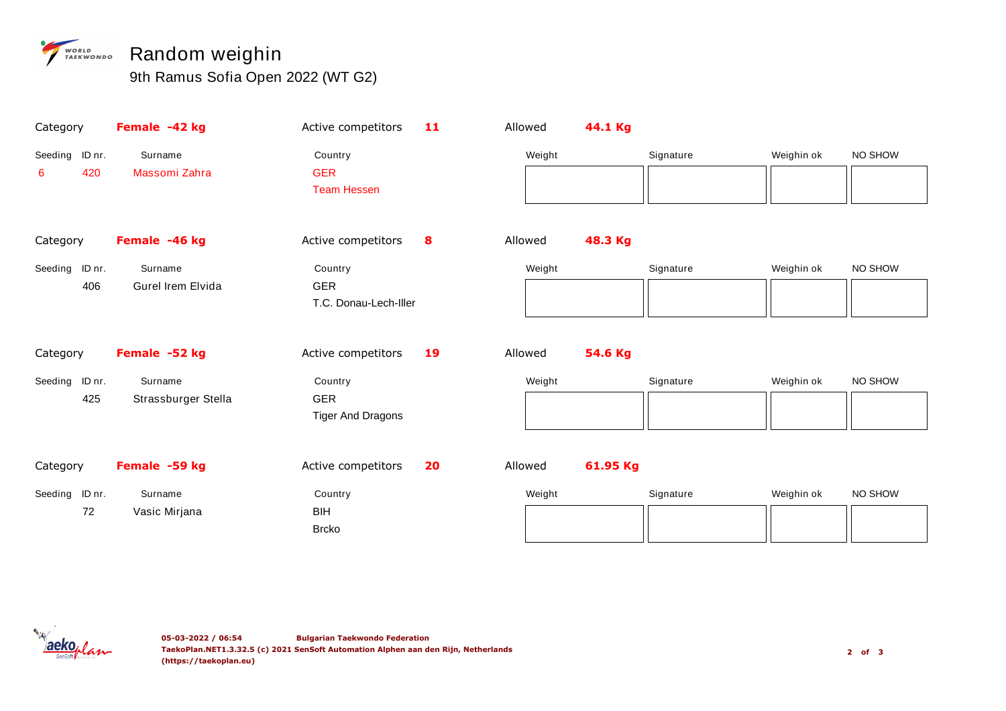### *P WORLD* DRANDOM Weighin

| Category          | Female -42 kg            | Active competitors                     | 11 | Allowed | 44.1 Kg  |           |            |         |
|-------------------|--------------------------|----------------------------------------|----|---------|----------|-----------|------------|---------|
| Seeding<br>ID nr. | Surname                  | Country                                |    | Weight  |          | Signature | Weighin ok | NO SHOW |
| 420<br>6          | Massomi Zahra            | <b>GER</b><br><b>Team Hessen</b>       |    |         |          |           |            |         |
| Category          | Female -46 kg            | Active competitors                     | 8  | Allowed | 48.3 Kg  |           |            |         |
| Seeding<br>ID nr. | Surname                  | Country                                |    | Weight  |          | Signature | Weighin ok | NO SHOW |
| 406               | <b>Gurel Irem Elvida</b> | <b>GER</b><br>T.C. Donau-Lech-Iller    |    |         |          |           |            |         |
| Category          | Female -52 kg            | Active competitors                     | 19 | Allowed | 54.6 Kg  |           |            |         |
| Seeding<br>ID nr. | Surname                  | Country                                |    | Weight  |          | Signature | Weighin ok | NO SHOW |
| 425               | Strassburger Stella      | <b>GER</b><br><b>Tiger And Dragons</b> |    |         |          |           |            |         |
|                   |                          |                                        |    |         |          |           |            |         |
| Category          | Female -59 kg            | Active competitors                     | 20 | Allowed | 61.95 Kg |           |            |         |
| Seeding ID nr.    | Surname                  | Country                                |    | Weight  |          | Signature | Weighin ok | NO SHOW |
| 72                | Vasic Mirjana            | BIH<br><b>Brcko</b>                    |    |         |          |           |            |         |